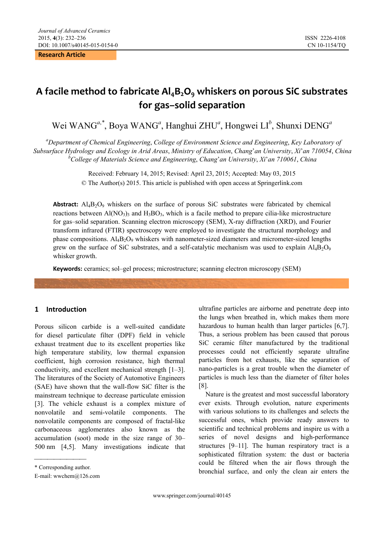**Research Article** 

# A facile method to fabricate Al<sub>4</sub>B<sub>2</sub>O<sub>9</sub> whiskers on porous SiC substrates **for gas–solid separation**

Wei WANG<sup>a,\*</sup>, Boya WANG<sup>a</sup>, Hanghui ZHU<sup>a</sup>, Hongwei LI<sup>b</sup>, Shunxi DENG<sup>a</sup>

*a Department of Chemical Engineering*, *College of Environment Science and Engineering*, *Key Laboratory of Subsurface Hydrology and Ecology in Arid Areas*, *Ministry of Education*, *Chang*'*an University*, *Xi*'*an 710054*, *China b College of Materials Science and Engineering*, *Chang*'*an University*, *Xi*'*an 710061*, *China* 

> Received: February 14, 2015; Revised: April 23, 2015; Accepted: May 03, 2015 © The Author(s) 2015. This article is published with open access at Springerlink.com

Abstract: Al<sub>4</sub>B<sub>2</sub>O<sub>9</sub> whiskers on the surface of porous SiC substrates were fabricated by chemical reactions between  $Al(NO_3)$ <sub>3</sub> and  $H_3BO_3$ , which is a facile method to prepare cilia-like microstructure for gas–solid separation. Scanning electron microscopy (SEM), X-ray diffraction (XRD), and Fourier transform infrared (FTIR) spectroscopy were employed to investigate the structural morphology and phase compositions.  $\text{Al}_4\text{B}_2\text{O}_9$  whiskers with nanometer-sized diameters and micrometer-sized lengths grew on the surface of SiC substrates, and a self-catalytic mechanism was used to explain  $\text{Al}_4\text{B}_2\text{O}_9$ whisker growth.

**Keywords:** ceramics; sol–gel process; microstructure; scanning electron microscopy (SEM)

# **1 Introduction**

Porous silicon carbide is a well-suited candidate for diesel particulate filter (DPF) field in vehicle exhaust treatment due to its excellent properties like high temperature stability, low thermal expansion coefficient, high corrosion resistance, high thermal conductivity, and excellent mechanical strength [1–3]. The literatures of the Society of Automotive Engineers (SAE) have shown that the wall-flow SiC filter is the mainstream technique to decrease particulate emission [3]. The vehicle exhaust is a complex mixture of nonvolatile and semi-volatile components. The nonvolatile components are composed of fractal-like carbonaceous agglomerates also known as the accumulation (soot) mode in the size range of 30– 500 nm [4,5]. Many investigations indicate that

ultrafine particles are airborne and penetrate deep into the lungs when breathed in, which makes them more hazardous to human health than larger particles [6,7]. Thus, a serious problem has been caused that porous SiC ceramic filter manufactured by the traditional processes could not efficiently separate ultrafine particles from hot exhausts, like the separation of nano-particles is a great trouble when the diameter of particles is much less than the diameter of filter holes [8].

Nature is the greatest and most successful laboratory ever exists. Through evolution, nature experiments with various solutions to its challenges and selects the successful ones, which provide ready answers to scientific and technical problems and inspire us with a series of novel designs and high-performance structures [9–11]. The human respiratory tract is a sophisticated filtration system: the dust or bacteria could be filtered when the air flows through the bronchial surface, and only the clean air enters the

\* Corresponding author.

E-mail: wwchem@126.com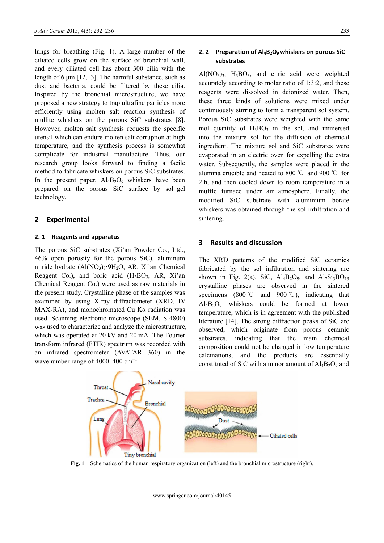lungs for breathing (Fig. 1). A large number of the ciliated cells grow on the surface of bronchial wall, and every ciliated cell has about 300 cilia with the length of 6 μm [12,13]. The harmful substance, such as dust and bacteria, could be filtered by these cilia. Inspired by the bronchial microstructure, we have proposed a new strategy to trap ultrafine particles more efficiently using molten salt reaction synthesis of mullite whishers on the porous SiC substrates [8]. However, molten salt synthesis requests the specific utensil which can endure molten salt corruption at high temperature, and the synthesis process is somewhat complicate for industrial manufacture. Thus, our research group looks forward to finding a facile method to fabricate whiskers on porous SiC substrates. In the present paper,  $Al_4B_2O_9$  whiskers have been prepared on the porous SiC surface by sol–gel technology.

## **2 Experimental**

#### **2. 1 Reagents and apparatus**

The porous SiC substrates (Xi'an Powder Co., Ltd., 46% open porosity for the porous SiC), aluminum nitride hydrate  $(Al(NO<sub>3</sub>)<sub>3</sub>·9H<sub>2</sub>O, AR, Xi<sup>3</sup>an Chemical)$ Reagent Co.), and boric acid  $(H_3BO_3, AR, Xi'an)$ Chemical Reagent Co.) were used as raw materials in the present study. Crystalline phase of the samples was examined by using X-ray diffractometer (XRD, D/ MAX-RA), and monochromated Cu Kα radiation was used. Scanning electronic microscope (SEM, S-4800) was used to characterize and analyze the microstructure, which was operated at 20 kV and 20 mA. The Fourier transform infrared (FTIR) spectrum was recorded with an infrared spectrometer (AVATAR 360) in the wavenumber range of 4000–400  $\text{cm}^{-1}$ .

## **2. 2** Preparation of Al<sub>4</sub>B<sub>2</sub>O<sub>9</sub> whiskers on porous SiC **substrates**

 $Al(NO<sub>3</sub>)<sub>3</sub>$ ,  $H<sub>3</sub>BO<sub>3</sub>$ , and citric acid were weighted accurately according to molar ratio of 1:3:2, and these reagents were dissolved in deionized water. Then, these three kinds of solutions were mixed under continuously stirring to form a transparent sol system. Porous SiC substrates were weighted with the same mol quantity of  $H_3BO_3$  in the sol, and immersed into the mixture sol for the diffusion of chemical ingredient. The mixture sol and SiC substrates were evaporated in an electric oven for expelling the extra water. Subsequently, the samples were placed in the alumina crucible and heated to 800 ℃ and 900 ℃ for 2 h, and then cooled down to room temperature in a muffle furnace under air atmosphere. Finally, the modified SiC substrate with aluminium borate whiskers was obtained through the sol infiltration and sintering.

## **3 Results and discussion**

The XRD patterns of the modified SiC ceramics fabricated by the sol infiltration and sintering are shown in Fig. 2(a). SiC,  $\text{Al}_4\text{B}_2\text{O}_9$ , and  $\text{Al}_7\text{Si}_3\text{BO}_{13}$ crystalline phases are observed in the sintered specimens (800 ℃ and 900 ℃), indicating that  $Al_4B_2O_9$  whiskers could be formed at lower temperature, which is in agreement with the published literature [14]. The strong diffraction peaks of SiC are observed, which originate from porous ceramic substrates, indicating that the main chemical composition could not be changed in low temperature calcinations, and the products are essentially constituted of SiC with a minor amount of  $A_{4}B_{2}O_{9}$  and



**Fig. 1** Schematics of the human respiratory organization (left) and the bronchial microstructure (right).

www.springer.com/journal/40145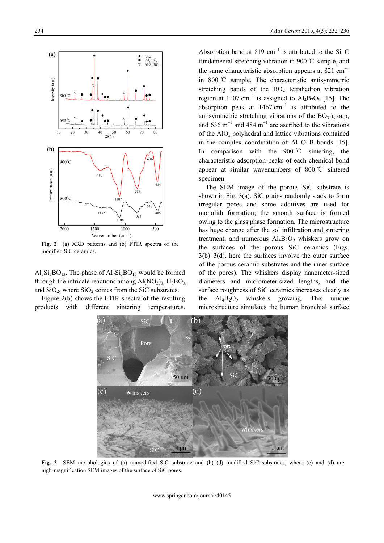

**Fig. 2** (a) XRD patterns and (b) FTIR spectra of the modified SiC ceramics.

 $Al_7Si_3BO_{13}$ . The phase of  $Al_7Si_3BO_{13}$  would be formed through the intricate reactions among  $Al(NO<sub>3</sub>)<sub>3</sub>$ ,  $H<sub>3</sub>BO<sub>3</sub>$ , and  $SiO<sub>2</sub>$ , where  $SiO<sub>2</sub>$  comes from the SiC substrates.

Figure 2(b) shows the FTIR spectra of the resulting products with different sintering temperatures.

Absorption band at 819  $cm^{-1}$  is attributed to the Si-C fundamental stretching vibration in 900℃ sample, and the same characteristic absorption appears at  $821 \text{ cm}^{-1}$ in 800 ℃ sample. The characteristic antisymmetric stretching bands of the BO<sub>4</sub> tetrahedron vibration region at 1107  $cm^{-1}$  is assigned to Al<sub>4</sub>B<sub>2</sub>O<sub>9</sub> [15]. The absorption peak at  $1467 \text{ cm}^{-1}$  is attributed to the antisymmetric stretching vibrations of the  $BO<sub>3</sub>$  group, and 636  $m^{-1}$  and 484  $m^{-1}$  are ascribed to the vibrations of the AlO*x* polyhedral and lattice vibrations contained in the complex coordination of Al–O–B bonds [15]. In comparison with the 900 ℃ sintering, the characteristic adsorption peaks of each chemical bond appear at similar wavenumbers of 800 ℃ sintered specimen.

The SEM image of the porous SiC substrate is shown in Fig. 3(a). SiC grains randomly stack to form irregular pores and some additives are used for monolith formation; the smooth surface is formed owing to the glass phase formation. The microstructure has huge change after the sol infiltration and sintering treatment, and numerous  $Al_4B_2O_9$  whiskers grow on the surfaces of the porous SiC ceramics (Figs.  $3(b)-3(d)$ , here the surfaces involve the outer surface of the porous ceramic substrates and the inner surface of the pores). The whiskers display nanometer-sized diameters and micrometer-sized lengths, and the surface roughness of SiC ceramics increases clearly as the  $Al_4B_2O_9$  whiskers growing. This unique microstructure simulates the human bronchial surface



**Fig. 3** SEM morphologies of (a) unmodified SiC substrate and (b)–(d) modified SiC substrates, where (c) and (d) are high-magnification SEM images of the surface of SiC pores.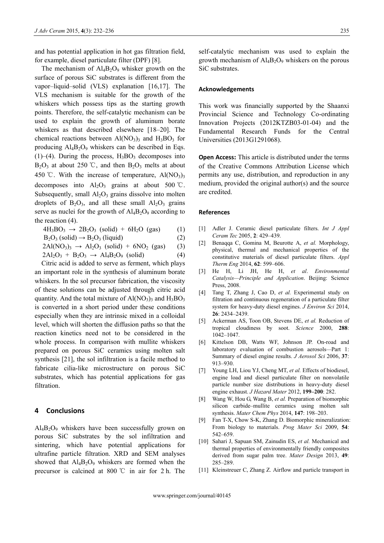and has potential application in hot gas filtration field, for example, diesel particulate filter (DPF) [8].

The mechanism of  $\text{Al}_4\text{B}_2\text{O}_9$  whisker growth on the surface of porous SiC substrates is different from the vapor–liquid–solid (VLS) explanation [16,17]. The VLS mechanism is suitable for the growth of the whiskers which possess tips as the starting growth points. Therefore, the self-catalytic mechanism can be used to explain the growth of aluminum borate whiskers as that described elsewhere [18–20]. The chemical reactions between  $Al(NO<sub>3</sub>)<sub>3</sub>$  and  $H<sub>3</sub>BO<sub>3</sub>$  for producing  $Al_4B_2O_9$  whiskers can be described in Eqs.  $(1)$ – $(4)$ . During the process,  $H_3BO_3$  decomposes into  $B_2O_3$  at about 250 °C, and then  $B_2O_3$  melts at about 450 °C. With the increase of temperature,  $Al(NO_3)$ <sub>3</sub> decomposes into  $Al_2O_3$  grains at about 500 °C. Subsequently, small  $Al_2O_3$  grains dissolve into molten droplets of  $B_2O_3$ , and all these small  $Al_2O_3$  grains serve as nuclei for the growth of  $Al_4B_2O_9$  according to the reaction (4).

 $4H_3BO_3 \rightarrow 2B_2O_3$  (solid) + 6H<sub>2</sub>O (gas) (1)

B2O3 (solid) → B2O3 (liquid) (2)

$$
2\text{Al}(NO_3)_3 \rightarrow \text{Al}_2\text{O}_3 \text{ (solid)} + 6\text{NO}_2 \text{ (gas)} \tag{3}
$$

 $2\text{Al}_2\text{O}_3 + \text{B}_2\text{O}_3 \rightarrow \text{Al}_4\text{B}_2\text{O}_9$  (solid) (4)

Citric acid is added to serve as ferment, which plays an important role in the synthesis of aluminum borate whiskers. In the sol precursor fabrication, the viscosity of these solutions can be adjusted through citric acid quantity. And the total mixture of  $Al(NO<sub>3</sub>)<sub>3</sub>$  and  $H<sub>3</sub>BO<sub>3</sub>$ is converted in a short period under these conditions especially when they are intrinsic mixed in a colloidal level, which will shorten the diffusion paths so that the reaction kinetics need not to be considered in the whole process. In comparison with mullite whiskers prepared on porous SiC ceramics using molten salt synthesis [21], the sol infiltration is a facile method to fabricate cilia-like microstructure on porous SiC substrates, which has potential applications for gas filtration.

#### **4 Conclusions**

 $Al_4B_2O_9$  whiskers have been successfully grown on porous SiC substrates by the sol infiltration and sintering, which have potential applications for ultrafine particle filtration. XRD and SEM analyses showed that  $Al_4B_2O_9$  whiskers are formed when the precursor is calcined at 800 ℃ in air for 2 h. The self-catalytic mechanism was used to explain the growth mechanism of  $\text{Al}_4\text{B}_2\text{O}_9$  whiskers on the porous SiC substrates.

### **Acknowledgements**

This work was financially supported by the Shaanxi Provincial Science and Technology Co-ordinating Innovation Projects (2012KTZB03-01-04) and the Fundamental Research Funds for the Central Universities (2013G1291068).

**Open Access:** This article is distributed under the terms of the Creative Commons Attribution License which permits any use, distribution, and reproduction in any medium, provided the original author(s) and the source are credited.

#### **References**

- [1] Adler J. Ceramic diesel particulate filters. *Int J Appl Ceram Tec* 2005, **2**: 429–439.
- [2] Benaqqa C, Gomina M, Beurotte A, *et al.* Morphology, physical, thermal and mechanical properties of the constitutive materials of diesel particulate filters. *Appl Therm Eng* 2014, **62**: 599–606.
- [3] He H, Li JH, He H, *et al*. *Environmental Catalysis—Principle and Application*. Beijing: Science Press, 2008.
- [4] Tang T, Zhang J, Cao D, *et al.* Experimental study on filtration and continuous regeneration of a particulate filter system for heavy-duty diesel engines. *J Environ Sci* 2014, **26**: 2434–2439.
- [5] Ackerman AS, Toon OB, Stevens DE, *et al.* Reduction of tropical cloudiness by soot. *Science* 2000, **288**: 1042–1047.
- [6] Kittelson DB, Watts WF, Johnson JP. On-road and laboratory evaluation of combustion aerosols*—*Part 1: Summary of diesel engine results. *J Aerosol Sci* 2006, **37**: 913–930.
- [7] Young LH, Liou YJ, Cheng MT, *et al.* Effects of biodiesel, engine load and diesel particulate filter on nonvolatile particle number size distributions in heavy-duty diesel engine exhaust. *J Hazard Mater* 2012, **199–200**: 282.
- [8] Wang W, Hou G, Wang B, *et al.* Preparation of biomorphic silicon carbide–mullite ceramics using molten salt synthesis. *Mater Chem Phys* 2014, **147**: 198–203.
- [9] Fan T-X, Chow S-K, Zhang D. Biomorphic mineralization: From biology to materials. *Prog Mater Sci* 2009, **54**: 542–659.
- [10] Sahari J, Sapuan SM, Zainudin ES, *et al.* Mechanical and thermal properties of environmentally friendly composites derived from sugar palm tree. *Mater Design* 2013, **49**: 285–289.
- [11] Kleinstreuer C, Zhang Z. Airflow and particle transport in